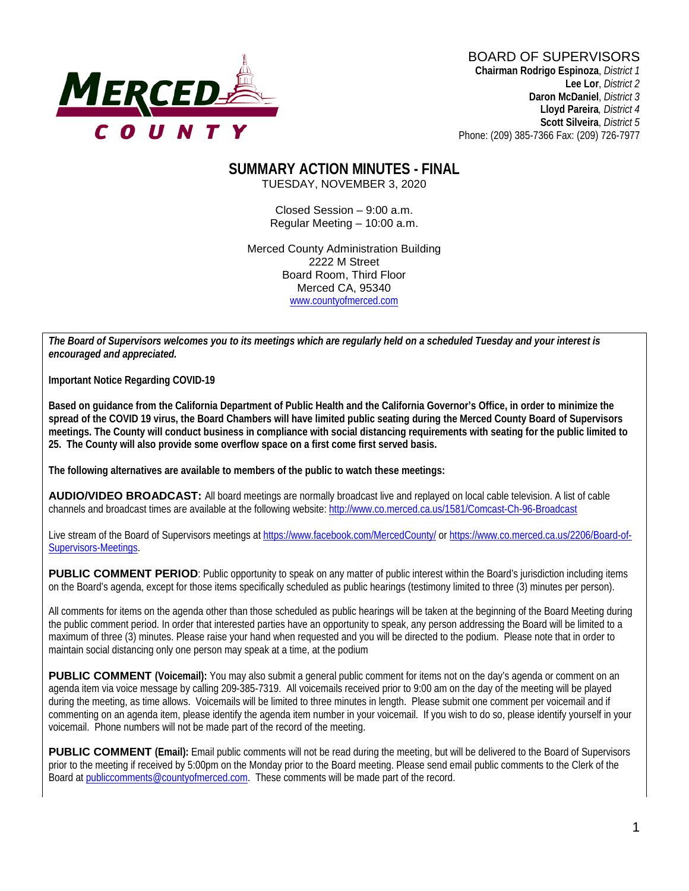

# BOARD OF SUPERVISORS

**Chairman Rodrigo Espinoza**, *District 1* **Lee Lor**, *District 2*  **Daron McDaniel**, *District 3* **Lloyd Pareira***, District 4*  **Scott Silveira**, *District 5* Phone: (209) 385-7366 Fax: (209) 726-7977

#### **SUMMARY ACTION MINUTES - FINAL** TUESDAY, NOVEMBER 3, 2020

Closed Session – 9:00 a.m. Regular Meeting – 10:00 a.m.

Merced County Administration Building 2222 M Street Board Room, Third Floor Merced CA, 95340 www.countyofmerced.com

*The Board of Supervisors welcomes you to its meetings which are regularly held on a scheduled Tuesday and your interest is encouraged and appreciated.*

**Important Notice Regarding COVID-19**

**Based on guidance from the California Department of Public Health and the California Governor's Office, in order to minimize the spread of the COVID 19 virus, the Board Chambers will have limited public seating during the Merced County Board of Supervisors meetings. The County will conduct business in compliance with social distancing requirements with seating for the public limited to 25. The County will also provide some overflow space on a first come first served basis.**

**The following alternatives are available to members of the public to watch these meetings:**

**AUDIO/VIDEO BROADCAST:** All board meetings are normally broadcast live and replayed on local cable television. A list of cable channels and broadcast times are available at the following website[: http://www.co.merced.ca.us/1581/Comcast-Ch-96-Broadcast](http://www.co.merced.ca.us/1581/Comcast-Ch-96-Broadcast)

Live stream of the Board of Supervisors meetings at<https://www.facebook.com/MercedCounty/> o[r https://www.co.merced.ca.us/2206/Board-of-](https://www.co.merced.ca.us/2206/Board-of-Supervisors-Meetings)[Supervisors-Meetings.](https://www.co.merced.ca.us/2206/Board-of-Supervisors-Meetings)

**PUBLIC COMMENT PERIOD:** Public opportunity to speak on any matter of public interest within the Board's jurisdiction including items on the Board's agenda, except for those items specifically scheduled as public hearings (testimony limited to three (3) minutes per person).

All comments for items on the agenda other than those scheduled as public hearings will be taken at the beginning of the Board Meeting during the public comment period. In order that interested parties have an opportunity to speak, any person addressing the Board will be limited to a maximum of three (3) minutes. Please raise your hand when requested and you will be directed to the podium. Please note that in order to maintain social distancing only one person may speak at a time, at the podium

**PUBLIC COMMENT (Voicemail):** You may also submit a general public comment for items not on the day's agenda or comment on an agenda item via voice message by calling 209-385-7319. All voicemails received prior to 9:00 am on the day of the meeting will be played during the meeting, as time allows. Voicemails will be limited to three minutes in length. Please submit one comment per voicemail and if commenting on an agenda item, please identify the agenda item number in your voicemail. If you wish to do so, please identify yourself in your voicemail. Phone numbers will not be made part of the record of the meeting.

**PUBLIC COMMENT (Email):** Email public comments will not be read during the meeting, but will be delivered to the Board of Supervisors prior to the meeting if received by 5:00pm on the Monday prior to the Board meeting. Please send email public comments to the Clerk of the Board a[t publiccomments@countyofmerced.com.](mailto:publiccomments@countyofmerced.com) These comments will be made part of the record.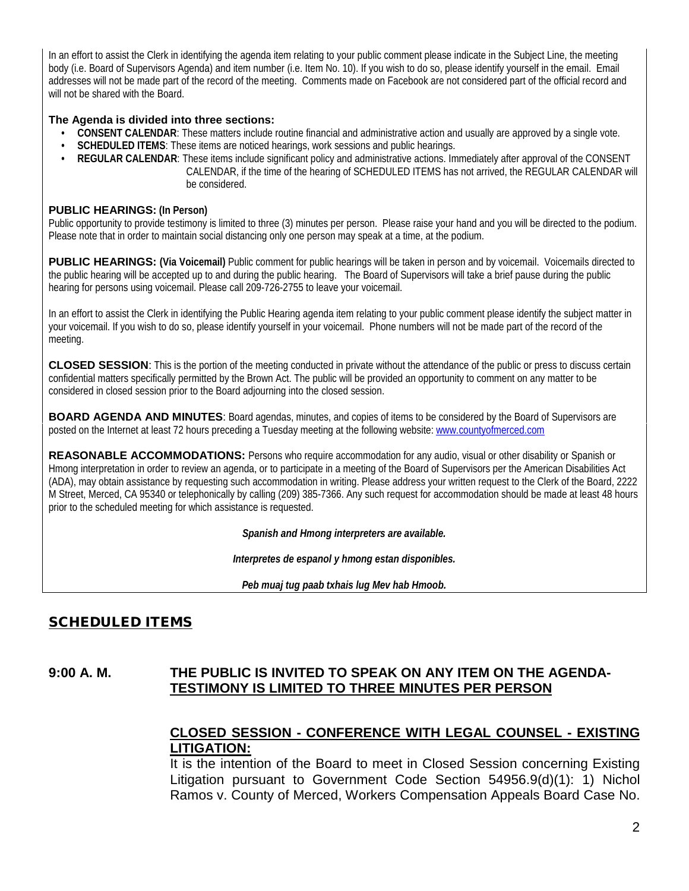In an effort to assist the Clerk in identifying the agenda item relating to your public comment please indicate in the Subject Line, the meeting body (i.e. Board of Supervisors Agenda) and item number (i.e. Item No. 10). If you wish to do so, please identify yourself in the email. Email addresses will not be made part of the record of the meeting. Comments made on Facebook are not considered part of the official record and will not be shared with the Board.

#### **The Agenda is divided into three sections:**

- **CONSENT CALENDAR**: These matters include routine financial and administrative action and usually are approved by a single vote.
- **SCHEDULED ITEMS**: These items are noticed hearings, work sessions and public hearings.
- **REGULAR CALENDAR**: These items include significant policy and administrative actions. Immediately after approval of the CONSENT CALENDAR, if the time of the hearing of SCHEDULED ITEMS has not arrived, the REGULAR CALENDAR will be considered.

#### **PUBLIC HEARINGS: (In Person)**

Public opportunity to provide testimony is limited to three (3) minutes per person. Please raise your hand and you will be directed to the podium. Please note that in order to maintain social distancing only one person may speak at a time, at the podium.

**PUBLIC HEARINGS:** (Via Voicemail) Public comment for public hearings will be taken in person and by voicemail. Voicemails directed to the public hearing will be accepted up to and during the public hearing. The Board of Supervisors will take a brief pause during the public hearing for persons using voicemail. Please call 209-726-2755 to leave your voicemail.

In an effort to assist the Clerk in identifying the Public Hearing agenda item relating to your public comment please identify the subject matter in your voicemail. If you wish to do so, please identify yourself in your voicemail. Phone numbers will not be made part of the record of the meeting.

**CLOSED SESSION**: This is the portion of the meeting conducted in private without the attendance of the public or press to discuss certain confidential matters specifically permitted by the Brown Act. The public will be provided an opportunity to comment on any matter to be considered in closed session prior to the Board adjourning into the closed session.

**BOARD AGENDA AND MINUTES:** Board agendas, minutes, and copies of items to be considered by the Board of Supervisors are posted on the Internet at least 72 hours preceding a Tuesday meeting at the following website: [www.countyofmerced.com](http://www.countyofmerced.com/) 

**REASONABLE ACCOMMODATIONS:** Persons who require accommodation for any audio, visual or other disability or Spanish or Hmong interpretation in order to review an agenda, or to participate in a meeting of the Board of Supervisors per the American Disabilities Act (ADA), may obtain assistance by requesting such accommodation in writing. Please address your written request to the Clerk of the Board, 2222 M Street, Merced, CA 95340 or telephonically by calling (209) 385-7366. Any such request for accommodation should be made at least 48 hours prior to the scheduled meeting for which assistance is requested.

*Spanish and Hmong interpreters are available.*

*Interpretes de espanol y hmong estan disponibles.*

*Peb muaj tug paab txhais lug Mev hab Hmoob.* 

## SCHEDULED ITEMS

#### **9:00 A. M. THE PUBLIC IS INVITED TO SPEAK ON ANY ITEM ON THE AGENDA-TESTIMONY IS LIMITED TO THREE MINUTES PER PERSON**

### **CLOSED SESSION - CONFERENCE WITH LEGAL COUNSEL - EXISTING LITIGATION:**

It is the intention of the Board to meet in Closed Session concerning Existing Litigation pursuant to Government Code Section 54956.9(d)(1): 1) Nichol Ramos v. County of Merced, Workers Compensation Appeals Board Case No.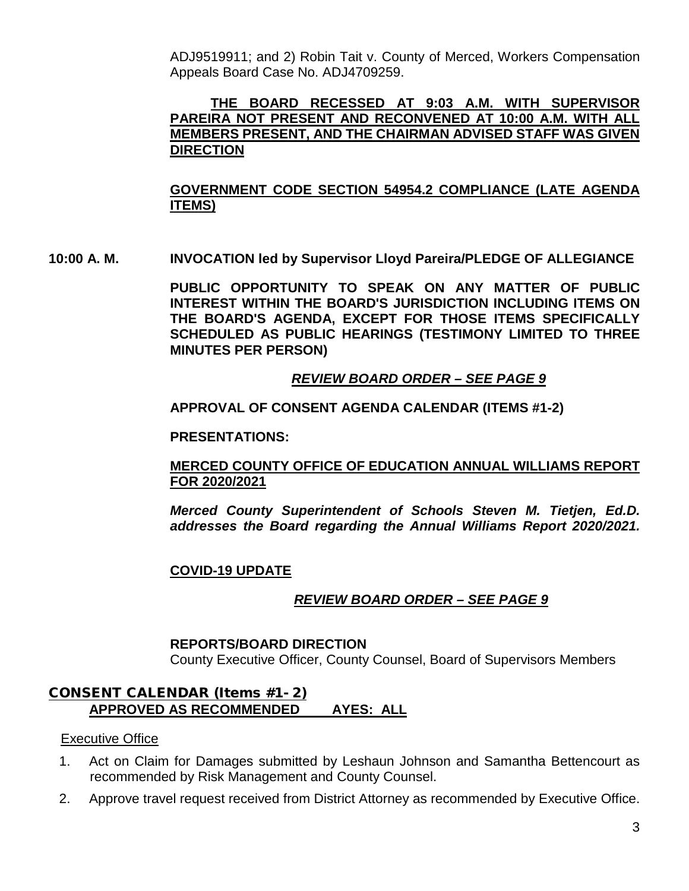ADJ9519911; and 2) Robin Tait v. County of Merced, Workers Compensation Appeals Board Case No. ADJ4709259.

### **THE BOARD RECESSED AT 9:03 A.M. WITH SUPERVISOR PAREIRA NOT PRESENT AND RECONVENED AT 10:00 A.M. WITH ALL MEMBERS PRESENT, AND THE CHAIRMAN ADVISED STAFF WAS GIVEN DIRECTION**

### **GOVERNMENT CODE SECTION 54954.2 COMPLIANCE (LATE AGENDA ITEMS)**

**10:00 A. M. INVOCATION led by Supervisor Lloyd Pareira/PLEDGE OF ALLEGIANCE**

**PUBLIC OPPORTUNITY TO SPEAK ON ANY MATTER OF PUBLIC INTEREST WITHIN THE BOARD'S JURISDICTION INCLUDING ITEMS ON THE BOARD'S AGENDA, EXCEPT FOR THOSE ITEMS SPECIFICALLY SCHEDULED AS PUBLIC HEARINGS (TESTIMONY LIMITED TO THREE MINUTES PER PERSON)**

### *REVIEW BOARD ORDER – SEE PAGE 9*

#### **APPROVAL OF CONSENT AGENDA CALENDAR (ITEMS #1-2)**

**PRESENTATIONS:**

#### **MERCED COUNTY OFFICE OF EDUCATION ANNUAL WILLIAMS REPORT FOR 2020/2021**

*Merced County Superintendent of Schools Steven M. Tietjen, Ed.D. addresses the Board regarding the Annual Williams Report 2020/2021.*

#### **COVID-19 UPDATE**

#### *REVIEW BOARD ORDER – SEE PAGE 9*

#### **REPORTS/BOARD DIRECTION**

County Executive Officer, County Counsel, Board of Supervisors Members

#### CONSENT CALENDAR (Items #1- 2) **APPROVED AS RECOMMENDED AYES: ALL**

#### Executive Office

- 1. Act on Claim for Damages submitted by Leshaun Johnson and Samantha Bettencourt as recommended by Risk Management and County Counsel.
- 2. Approve travel request received from District Attorney as recommended by Executive Office.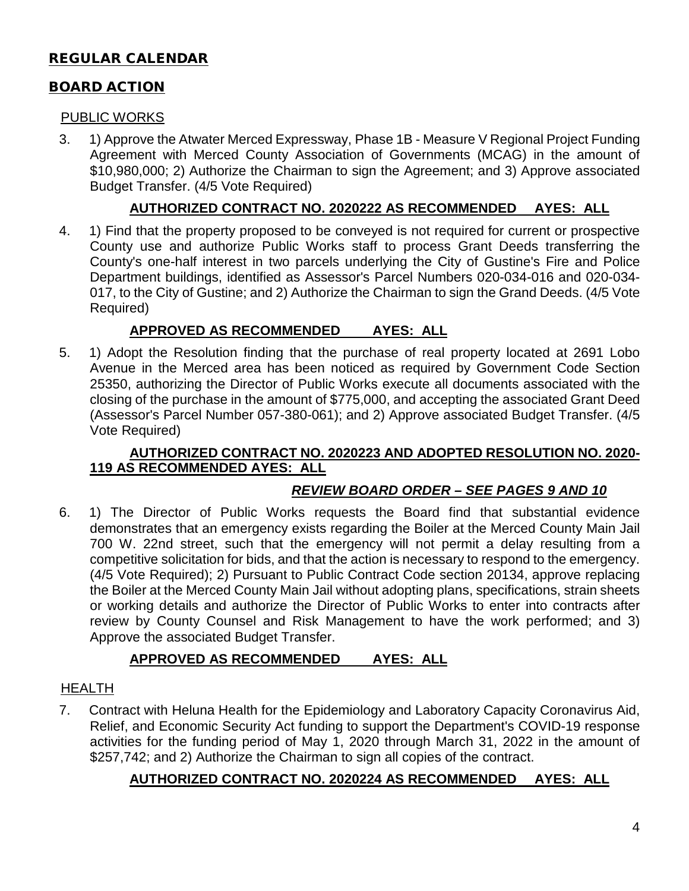# REGULAR CALENDAR

### BOARD ACTION

### PUBLIC WORKS

3. 1) Approve the Atwater Merced Expressway, Phase 1B - Measure V Regional Project Funding Agreement with Merced County Association of Governments (MCAG) in the amount of \$10,980,000; 2) Authorize the Chairman to sign the Agreement; and 3) Approve associated Budget Transfer. (4/5 Vote Required)

### **AUTHORIZED CONTRACT NO. 2020222 AS RECOMMENDED AYES: ALL**

4. 1) Find that the property proposed to be conveyed is not required for current or prospective County use and authorize Public Works staff to process Grant Deeds transferring the County's one-half interest in two parcels underlying the City of Gustine's Fire and Police Department buildings, identified as Assessor's Parcel Numbers 020-034-016 and 020-034- 017, to the City of Gustine; and 2) Authorize the Chairman to sign the Grand Deeds. (4/5 Vote Required)

### **APPROVED AS RECOMMENDED AYES: ALL**

5. 1) Adopt the Resolution finding that the purchase of real property located at 2691 Lobo Avenue in the Merced area has been noticed as required by Government Code Section 25350, authorizing the Director of Public Works execute all documents associated with the closing of the purchase in the amount of \$775,000, and accepting the associated Grant Deed (Assessor's Parcel Number 057-380-061); and 2) Approve associated Budget Transfer. (4/5 Vote Required)

### **AUTHORIZED CONTRACT NO. 2020223 AND ADOPTED RESOLUTION NO. 2020- 119 AS RECOMMENDED AYES: ALL**

### *REVIEW BOARD ORDER – SEE PAGES 9 AND 10*

6. 1) The Director of Public Works requests the Board find that substantial evidence demonstrates that an emergency exists regarding the Boiler at the Merced County Main Jail 700 W. 22nd street, such that the emergency will not permit a delay resulting from a competitive solicitation for bids, and that the action is necessary to respond to the emergency. (4/5 Vote Required); 2) Pursuant to Public Contract Code section 20134, approve replacing the Boiler at the Merced County Main Jail without adopting plans, specifications, strain sheets or working details and authorize the Director of Public Works to enter into contracts after review by County Counsel and Risk Management to have the work performed; and 3) Approve the associated Budget Transfer.

### **APPROVED AS RECOMMENDED AYES: ALL**

#### **HEALTH**

7. Contract with Heluna Health for the Epidemiology and Laboratory Capacity Coronavirus Aid, Relief, and Economic Security Act funding to support the Department's COVID-19 response activities for the funding period of May 1, 2020 through March 31, 2022 in the amount of \$257,742; and 2) Authorize the Chairman to sign all copies of the contract.

### **AUTHORIZED CONTRACT NO. 2020224 AS RECOMMENDED AYES: ALL**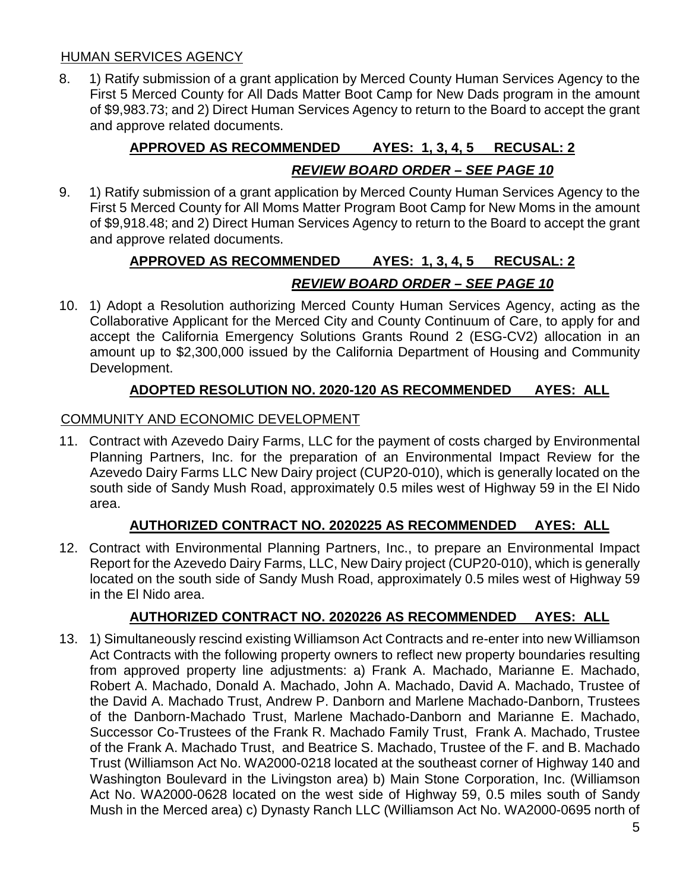### HUMAN SERVICES AGENCY

8. 1) Ratify submission of a grant application by Merced County Human Services Agency to the First 5 Merced County for All Dads Matter Boot Camp for New Dads program in the amount of \$9,983.73; and 2) Direct Human Services Agency to return to the Board to accept the grant and approve related documents.

# **APPROVED AS RECOMMENDED AYES: 1, 3, 4, 5 RECUSAL: 2** *REVIEW BOARD ORDER – SEE PAGE 10*

9. 1) Ratify submission of a grant application by Merced County Human Services Agency to the First 5 Merced County for All Moms Matter Program Boot Camp for New Moms in the amount of \$9,918.48; and 2) Direct Human Services Agency to return to the Board to accept the grant and approve related documents.

# **APPROVED AS RECOMMENDED AYES: 1, 3, 4, 5 RECUSAL: 2** *REVIEW BOARD ORDER – SEE PAGE 10*

10. 1) Adopt a Resolution authorizing Merced County Human Services Agency, acting as the Collaborative Applicant for the Merced City and County Continuum of Care, to apply for and accept the California Emergency Solutions Grants Round 2 (ESG-CV2) allocation in an amount up to \$2,300,000 issued by the California Department of Housing and Community Development.

### **ADOPTED RESOLUTION NO. 2020-120 AS RECOMMENDED AYES: ALL**

### COMMUNITY AND ECONOMIC DEVELOPMENT

11. Contract with Azevedo Dairy Farms, LLC for the payment of costs charged by Environmental Planning Partners, Inc. for the preparation of an Environmental Impact Review for the Azevedo Dairy Farms LLC New Dairy project (CUP20-010), which is generally located on the south side of Sandy Mush Road, approximately 0.5 miles west of Highway 59 in the El Nido area.

### **AUTHORIZED CONTRACT NO. 2020225 AS RECOMMENDED AYES: ALL**

12. Contract with Environmental Planning Partners, Inc., to prepare an Environmental Impact Report for the Azevedo Dairy Farms, LLC, New Dairy project (CUP20-010), which is generally located on the south side of Sandy Mush Road, approximately 0.5 miles west of Highway 59 in the El Nido area.

## **AUTHORIZED CONTRACT NO. 2020226 AS RECOMMENDED AYES: ALL**

13. 1) Simultaneously rescind existing Williamson Act Contracts and re-enter into new Williamson Act Contracts with the following property owners to reflect new property boundaries resulting from approved property line adjustments: a) Frank A. Machado, Marianne E. Machado, Robert A. Machado, Donald A. Machado, John A. Machado, David A. Machado, Trustee of the David A. Machado Trust, Andrew P. Danborn and Marlene Machado-Danborn, Trustees of the Danborn-Machado Trust, Marlene Machado-Danborn and Marianne E. Machado, Successor Co-Trustees of the Frank R. Machado Family Trust, Frank A. Machado, Trustee of the Frank A. Machado Trust, and Beatrice S. Machado, Trustee of the F. and B. Machado Trust (Williamson Act No. WA2000-0218 located at the southeast corner of Highway 140 and Washington Boulevard in the Livingston area) b) Main Stone Corporation, Inc. (Williamson Act No. WA2000-0628 located on the west side of Highway 59, 0.5 miles south of Sandy Mush in the Merced area) c) Dynasty Ranch LLC (Williamson Act No. WA2000-0695 north of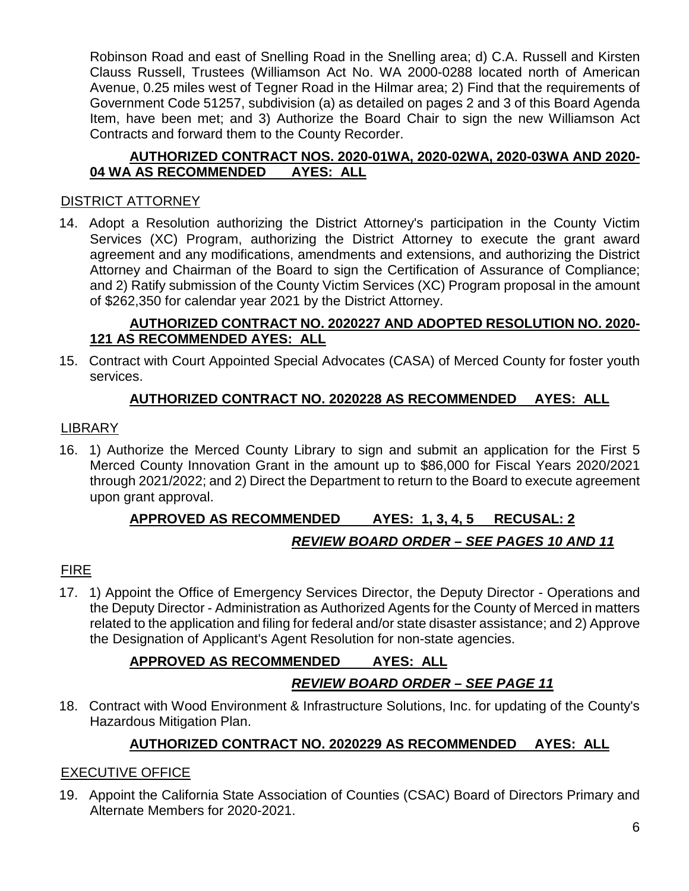Robinson Road and east of Snelling Road in the Snelling area; d) C.A. Russell and Kirsten Clauss Russell, Trustees (Williamson Act No. WA 2000-0288 located north of American Avenue, 0.25 miles west of Tegner Road in the Hilmar area; 2) Find that the requirements of Government Code 51257, subdivision (a) as detailed on pages 2 and 3 of this Board Agenda Item, have been met; and 3) Authorize the Board Chair to sign the new Williamson Act Contracts and forward them to the County Recorder.

### **AUTHORIZED CONTRACT NOS. 2020-01WA, 2020-02WA, 2020-03WA AND 2020- 04 WA AS RECOMMENDED**

### DISTRICT ATTORNEY

14. Adopt a Resolution authorizing the District Attorney's participation in the County Victim Services (XC) Program, authorizing the District Attorney to execute the grant award agreement and any modifications, amendments and extensions, and authorizing the District Attorney and Chairman of the Board to sign the Certification of Assurance of Compliance; and 2) Ratify submission of the County Victim Services (XC) Program proposal in the amount of \$262,350 for calendar year 2021 by the District Attorney.

### **AUTHORIZED CONTRACT NO. 2020227 AND ADOPTED RESOLUTION NO. 2020- 121 AS RECOMMENDED AYES: ALL**

15. Contract with Court Appointed Special Advocates (CASA) of Merced County for foster youth services.

## **AUTHORIZED CONTRACT NO. 2020228 AS RECOMMENDED AYES: ALL**

## LIBRARY

16. 1) Authorize the Merced County Library to sign and submit an application for the First 5 Merced County Innovation Grant in the amount up to \$86,000 for Fiscal Years 2020/2021 through 2021/2022; and 2) Direct the Department to return to the Board to execute agreement upon grant approval.

# **APPROVED AS RECOMMENDED AYES: 1, 3, 4, 5 RECUSAL: 2** *REVIEW BOARD ORDER – SEE PAGES 10 AND 11*

## FIRE

17. 1) Appoint the Office of Emergency Services Director, the Deputy Director - Operations and the Deputy Director - Administration as Authorized Agents for the County of Merced in matters related to the application and filing for federal and/or state disaster assistance; and 2) Approve the Designation of Applicant's Agent Resolution for non-state agencies.

# **APPROVED AS RECOMMENDED AYES: ALL**

# *REVIEW BOARD ORDER – SEE PAGE 11*

18. Contract with Wood Environment & Infrastructure Solutions, Inc. for updating of the County's Hazardous Mitigation Plan.

## **AUTHORIZED CONTRACT NO. 2020229 AS RECOMMENDED AYES: ALL**

## EXECUTIVE OFFICE

19. Appoint the California State Association of Counties (CSAC) Board of Directors Primary and Alternate Members for 2020-2021.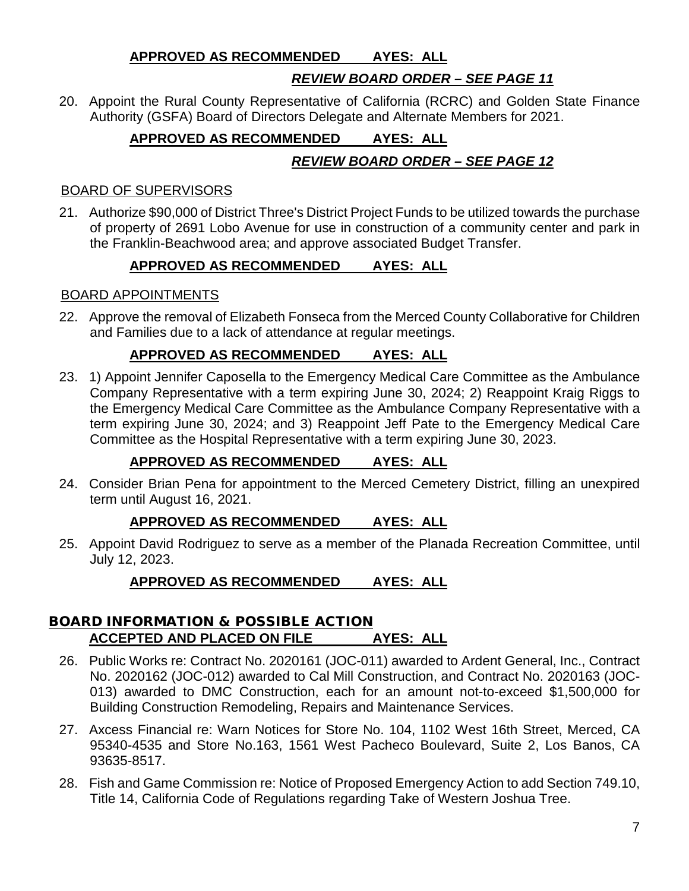### **APPROVED AS RECOMMENDED AYES: ALL**

# *REVIEW BOARD ORDER – SEE PAGE 11*

20. Appoint the Rural County Representative of California (RCRC) and Golden State Finance Authority (GSFA) Board of Directors Delegate and Alternate Members for 2021.

# **APPROVED AS RECOMMENDED AYES: ALL**

### *REVIEW BOARD ORDER – SEE PAGE 12*

### BOARD OF SUPERVISORS

21. Authorize \$90,000 of District Three's District Project Funds to be utilized towards the purchase of property of 2691 Lobo Avenue for use in construction of a community center and park in the Franklin-Beachwood area; and approve associated Budget Transfer.

### **APPROVED AS RECOMMENDED AYES: ALL**

### BOARD APPOINTMENTS

22. Approve the removal of Elizabeth Fonseca from the Merced County Collaborative for Children and Families due to a lack of attendance at regular meetings.

### **APPROVED AS RECOMMENDED AYES: ALL**

23. 1) Appoint Jennifer Caposella to the Emergency Medical Care Committee as the Ambulance Company Representative with a term expiring June 30, 2024; 2) Reappoint Kraig Riggs to the Emergency Medical Care Committee as the Ambulance Company Representative with a term expiring June 30, 2024; and 3) Reappoint Jeff Pate to the Emergency Medical Care Committee as the Hospital Representative with a term expiring June 30, 2023.

## **APPROVED AS RECOMMENDED AYES: ALL**

24. Consider Brian Pena for appointment to the Merced Cemetery District, filling an unexpired term until August 16, 2021.

### **APPROVED AS RECOMMENDED AYES: ALL**

25. Appoint David Rodriguez to serve as a member of the Planada Recreation Committee, until July 12, 2023.

## **APPROVED AS RECOMMENDED AYES: ALL**

### BOARD INFORMATION & POSSIBLE ACTION **ACCEPTED AND PLACED ON FILE AYES: ALL**

- 26. Public Works re: Contract No. 2020161 (JOC-011) awarded to Ardent General, Inc., Contract No. 2020162 (JOC-012) awarded to Cal Mill Construction, and Contract No. 2020163 (JOC-013) awarded to DMC Construction, each for an amount not-to-exceed \$1,500,000 for Building Construction Remodeling, Repairs and Maintenance Services.
- 27. Axcess Financial re: Warn Notices for Store No. 104, 1102 West 16th Street, Merced, CA 95340-4535 and Store No.163, 1561 West Pacheco Boulevard, Suite 2, Los Banos, CA 93635-8517.
- 28. Fish and Game Commission re: Notice of Proposed Emergency Action to add Section 749.10, Title 14, California Code of Regulations regarding Take of Western Joshua Tree.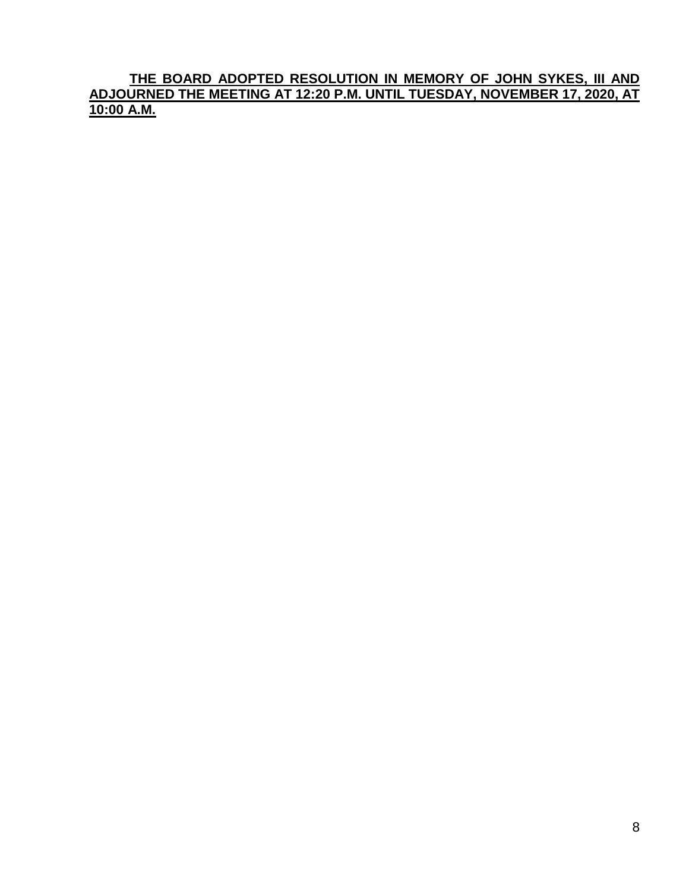**THE BOARD ADOPTED RESOLUTION IN MEMORY OF JOHN SYKES, III AND ADJOURNED THE MEETING AT 12:20 P.M. UNTIL TUESDAY, NOVEMBER 17, 2020, AT 10:00 A.M.**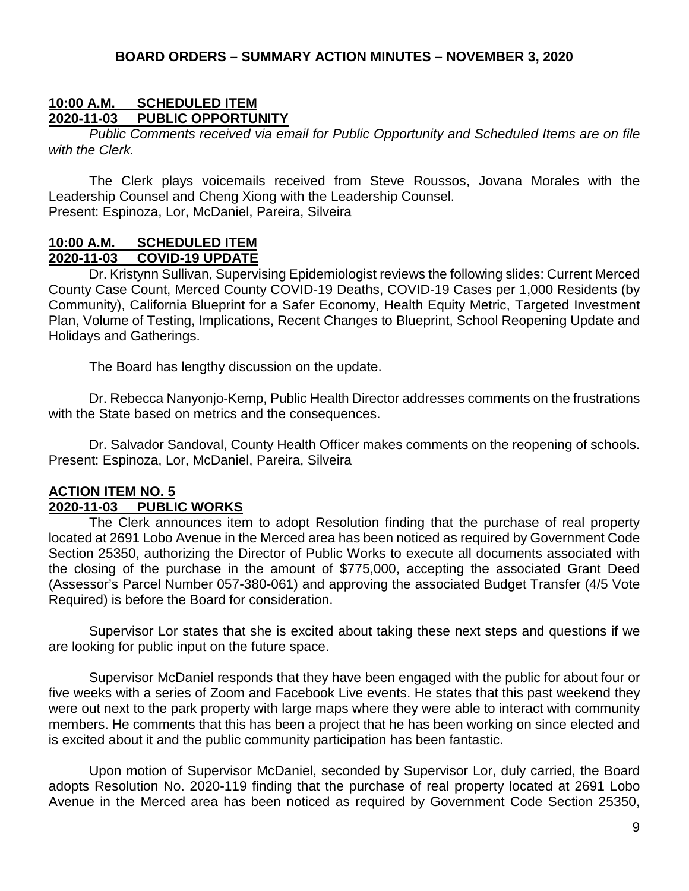### **10:00 A.M. SCHEDULED ITEM PUBLIC OPPORTUNITY**

*Public Comments received via email for Public Opportunity and Scheduled Items are on file with the Clerk.*

The Clerk plays voicemails received from Steve Roussos, Jovana Morales with the Leadership Counsel and Cheng Xiong with the Leadership Counsel. Present: Espinoza, Lor, McDaniel, Pareira, Silveira

#### **10:00 A.M. SCHEDULED ITEM 2020-11-03 COVID-19 UPDATE**

Dr. Kristynn Sullivan, Supervising Epidemiologist reviews the following slides: Current Merced County Case Count, Merced County COVID-19 Deaths, COVID-19 Cases per 1,000 Residents (by Community), California Blueprint for a Safer Economy, Health Equity Metric, Targeted Investment Plan, Volume of Testing, Implications, Recent Changes to Blueprint, School Reopening Update and Holidays and Gatherings.

The Board has lengthy discussion on the update.

Dr. Rebecca Nanyonjo-Kemp, Public Health Director addresses comments on the frustrations with the State based on metrics and the consequences.

Dr. Salvador Sandoval, County Health Officer makes comments on the reopening of schools. Present: Espinoza, Lor, McDaniel, Pareira, Silveira

### **ACTION ITEM NO. 5 2020-11-03 PUBLIC WORKS**

The Clerk announces item to adopt Resolution finding that the purchase of real property located at 2691 Lobo Avenue in the Merced area has been noticed as required by Government Code Section 25350, authorizing the Director of Public Works to execute all documents associated with the closing of the purchase in the amount of \$775,000, accepting the associated Grant Deed (Assessor's Parcel Number 057-380-061) and approving the associated Budget Transfer (4/5 Vote Required) is before the Board for consideration.

Supervisor Lor states that she is excited about taking these next steps and questions if we are looking for public input on the future space.

Supervisor McDaniel responds that they have been engaged with the public for about four or five weeks with a series of Zoom and Facebook Live events. He states that this past weekend they were out next to the park property with large maps where they were able to interact with community members. He comments that this has been a project that he has been working on since elected and is excited about it and the public community participation has been fantastic.

Upon motion of Supervisor McDaniel, seconded by Supervisor Lor, duly carried, the Board adopts Resolution No. 2020-119 finding that the purchase of real property located at 2691 Lobo Avenue in the Merced area has been noticed as required by Government Code Section 25350,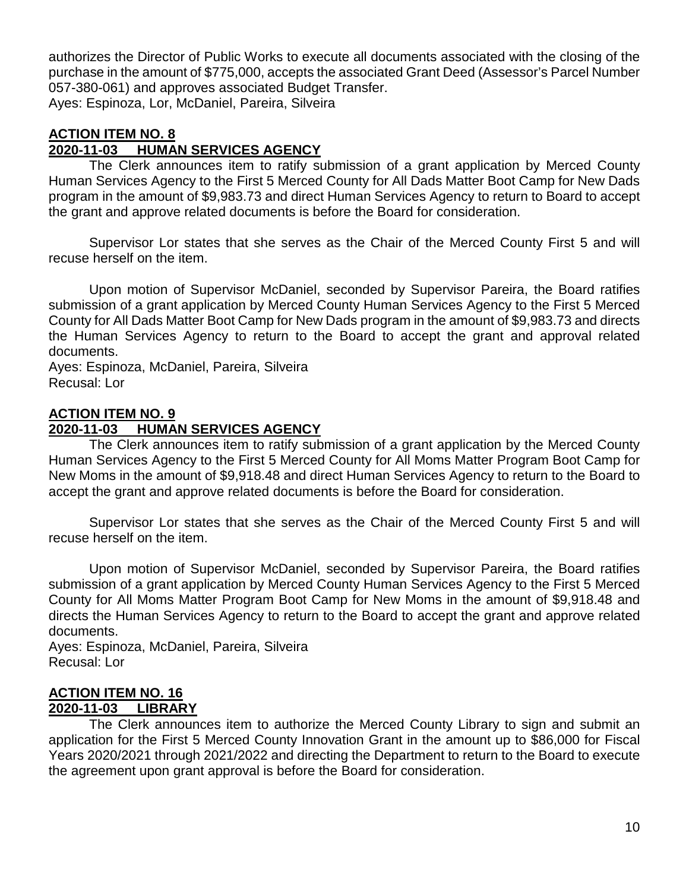authorizes the Director of Public Works to execute all documents associated with the closing of the purchase in the amount of \$775,000, accepts the associated Grant Deed (Assessor's Parcel Number 057-380-061) and approves associated Budget Transfer.

Ayes: Espinoza, Lor, McDaniel, Pareira, Silveira

### **ACTION ITEM NO. 8**

### **2020-11-03 HUMAN SERVICES AGENCY**

The Clerk announces item to ratify submission of a grant application by Merced County Human Services Agency to the First 5 Merced County for All Dads Matter Boot Camp for New Dads program in the amount of \$9,983.73 and direct Human Services Agency to return to Board to accept the grant and approve related documents is before the Board for consideration.

Supervisor Lor states that she serves as the Chair of the Merced County First 5 and will recuse herself on the item.

Upon motion of Supervisor McDaniel, seconded by Supervisor Pareira, the Board ratifies submission of a grant application by Merced County Human Services Agency to the First 5 Merced County for All Dads Matter Boot Camp for New Dads program in the amount of \$9,983.73 and directs the Human Services Agency to return to the Board to accept the grant and approval related documents.

Ayes: Espinoza, McDaniel, Pareira, Silveira Recusal: Lor

#### **ACTION ITEM NO. 9**

### **2020-11-03 HUMAN SERVICES AGENCY**

The Clerk announces item to ratify submission of a grant application by the Merced County Human Services Agency to the First 5 Merced County for All Moms Matter Program Boot Camp for New Moms in the amount of \$9,918.48 and direct Human Services Agency to return to the Board to accept the grant and approve related documents is before the Board for consideration.

Supervisor Lor states that she serves as the Chair of the Merced County First 5 and will recuse herself on the item.

Upon motion of Supervisor McDaniel, seconded by Supervisor Pareira, the Board ratifies submission of a grant application by Merced County Human Services Agency to the First 5 Merced County for All Moms Matter Program Boot Camp for New Moms in the amount of \$9,918.48 and directs the Human Services Agency to return to the Board to accept the grant and approve related documents.

Ayes: Espinoza, McDaniel, Pareira, Silveira Recusal: Lor

### **ACTION ITEM NO. 16 2020-11-03 LIBRARY**

The Clerk announces item to authorize the Merced County Library to sign and submit an application for the First 5 Merced County Innovation Grant in the amount up to \$86,000 for Fiscal Years 2020/2021 through 2021/2022 and directing the Department to return to the Board to execute the agreement upon grant approval is before the Board for consideration.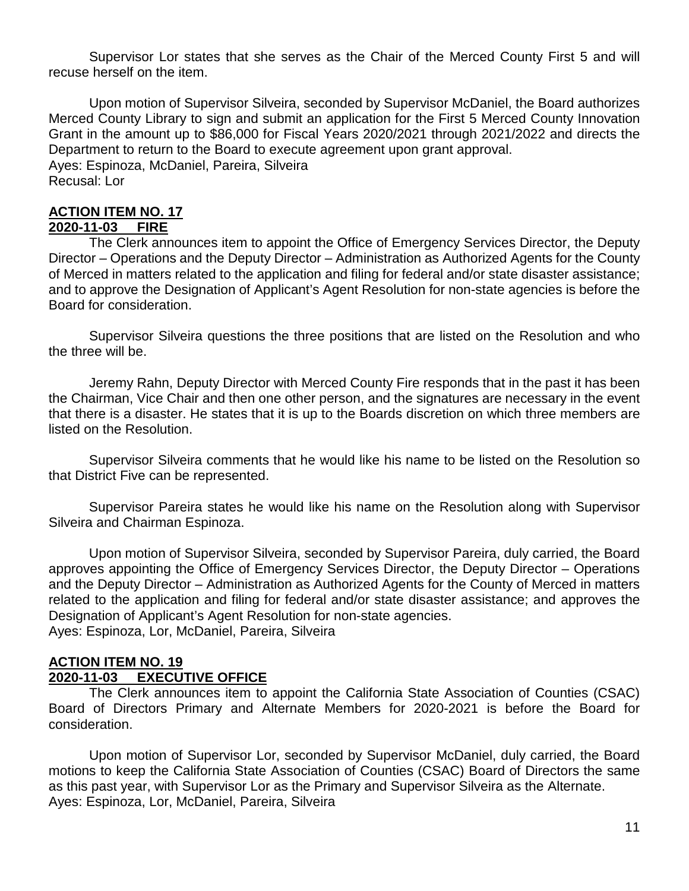Supervisor Lor states that she serves as the Chair of the Merced County First 5 and will recuse herself on the item.

Upon motion of Supervisor Silveira, seconded by Supervisor McDaniel, the Board authorizes Merced County Library to sign and submit an application for the First 5 Merced County Innovation Grant in the amount up to \$86,000 for Fiscal Years 2020/2021 through 2021/2022 and directs the Department to return to the Board to execute agreement upon grant approval. Ayes: Espinoza, McDaniel, Pareira, Silveira Recusal: Lor

# **ACTION ITEM NO. 17**

### **2020-11-03 FIRE**

The Clerk announces item to appoint the Office of Emergency Services Director, the Deputy Director – Operations and the Deputy Director – Administration as Authorized Agents for the County of Merced in matters related to the application and filing for federal and/or state disaster assistance; and to approve the Designation of Applicant's Agent Resolution for non-state agencies is before the Board for consideration.

Supervisor Silveira questions the three positions that are listed on the Resolution and who the three will be.

Jeremy Rahn, Deputy Director with Merced County Fire responds that in the past it has been the Chairman, Vice Chair and then one other person, and the signatures are necessary in the event that there is a disaster. He states that it is up to the Boards discretion on which three members are listed on the Resolution.

Supervisor Silveira comments that he would like his name to be listed on the Resolution so that District Five can be represented.

Supervisor Pareira states he would like his name on the Resolution along with Supervisor Silveira and Chairman Espinoza.

Upon motion of Supervisor Silveira, seconded by Supervisor Pareira, duly carried, the Board approves appointing the Office of Emergency Services Director, the Deputy Director – Operations and the Deputy Director – Administration as Authorized Agents for the County of Merced in matters related to the application and filing for federal and/or state disaster assistance; and approves the Designation of Applicant's Agent Resolution for non-state agencies. Ayes: Espinoza, Lor, McDaniel, Pareira, Silveira

#### **ACTION ITEM NO. 19 2020-11-03 EXECUTIVE OFFICE**

The Clerk announces item to appoint the California State Association of Counties (CSAC) Board of Directors Primary and Alternate Members for 2020-2021 is before the Board for consideration.

Upon motion of Supervisor Lor, seconded by Supervisor McDaniel, duly carried, the Board motions to keep the California State Association of Counties (CSAC) Board of Directors the same as this past year, with Supervisor Lor as the Primary and Supervisor Silveira as the Alternate. Ayes: Espinoza, Lor, McDaniel, Pareira, Silveira